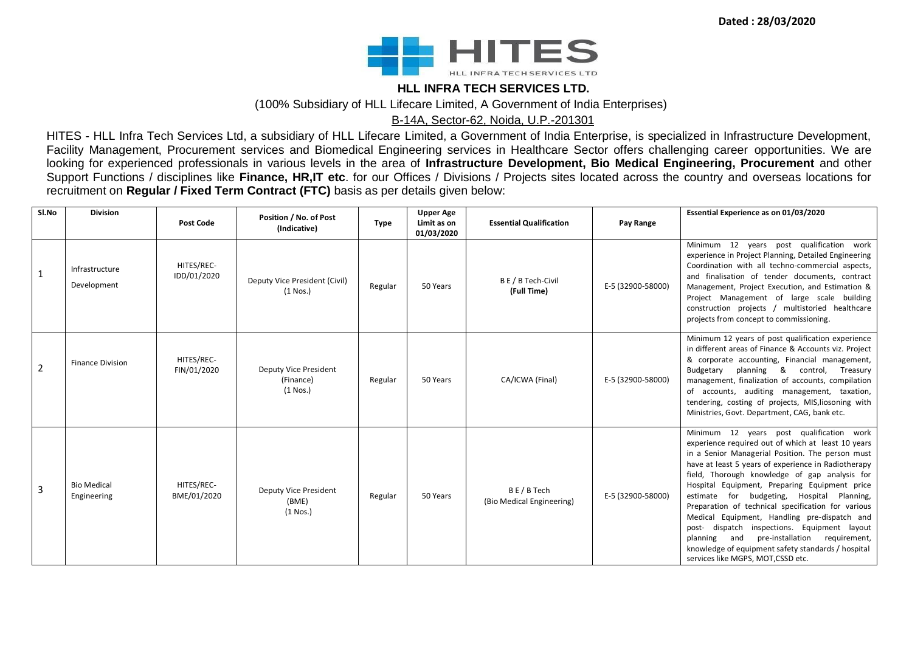**Dated : 28/03/2020**



#### **HLL INFRA TECH SERVICES LTD.**

(100% Subsidiary of HLL Lifecare Limited, A Government of India Enterprises)

B-14A, Sector-62, Noida, U.P.-201301

HITES - HLL Infra Tech Services Ltd, a subsidiary of HLL Lifecare Limited, a Government of India Enterprise, is specialized in Infrastructure Development, Facility Management, Procurement services and Biomedical Engineering services in Healthcare Sector offers challenging career opportunities. We are looking for experienced professionals in various levels in the area of **Infrastructure Development, Bio Medical Engineering, Procurement** and other Support Functions / disciplines like **Finance, HR,IT etc**. for our Offices / Divisions / Projects sites located across the country and overseas locations for recruitment on **Regular / Fixed Term Contract (FTC)** basis as per details given below:

| SI.No          | <b>Division</b>                   | <b>Post Code</b>          | Position / No. of Post<br>(Indicative)                  | <b>Type</b> | <b>Upper Age</b><br>Limit as on<br>01/03/2020 | <b>Essential Qualification</b>         | Pay Range         | Essential Experience as on 01/03/2020                                                                                                                                                                                                                                                                                                                                                                                                                                                                                                                                                                                                                    |
|----------------|-----------------------------------|---------------------------|---------------------------------------------------------|-------------|-----------------------------------------------|----------------------------------------|-------------------|----------------------------------------------------------------------------------------------------------------------------------------------------------------------------------------------------------------------------------------------------------------------------------------------------------------------------------------------------------------------------------------------------------------------------------------------------------------------------------------------------------------------------------------------------------------------------------------------------------------------------------------------------------|
| 1              | Infrastructure<br>Development     | HITES/REC-<br>IDD/01/2020 | Deputy Vice President (Civil)<br>$(1$ Nos.)             | Regular     | 50 Years                                      | B E / B Tech-Civil<br>(Full Time)      | E-5 (32900-58000) | Minimum 12 years post qualification work<br>experience in Project Planning, Detailed Engineering<br>Coordination with all techno-commercial aspects,<br>and finalisation of tender documents, contract<br>Management, Project Execution, and Estimation &<br>Project Management of large scale building<br>construction projects / multistoried healthcare<br>projects from concept to commissioning.                                                                                                                                                                                                                                                    |
| $\overline{2}$ | <b>Finance Division</b>           | HITES/REC-<br>FIN/01/2020 | <b>Deputy Vice President</b><br>(Finance)<br>$(1$ Nos.) | Regular     | 50 Years                                      | CA/ICWA (Final)                        | E-5 (32900-58000) | Minimum 12 years of post qualification experience<br>in different areas of Finance & Accounts viz. Project<br>& corporate accounting, Financial management,<br>Budgetary planning & control, Treasury<br>management, finalization of accounts, compilation<br>of accounts, auditing management, taxation,<br>tendering, costing of projects, MIS, liosoning with<br>Ministries, Govt. Department, CAG, bank etc.                                                                                                                                                                                                                                         |
| $\overline{3}$ | <b>Bio Medical</b><br>Engineering | HITES/REC-<br>BME/01/2020 | <b>Deputy Vice President</b><br>(BME)<br>$(1$ Nos.)     | Regular     | 50 Years                                      | BE/B Tech<br>(Bio Medical Engineering) | E-5 (32900-58000) | Minimum 12 years post qualification work<br>experience required out of which at least 10 years<br>in a Senior Managerial Position. The person must<br>have at least 5 years of experience in Radiotherapy<br>field, Thorough knowledge of gap analysis for<br>Hospital Equipment, Preparing Equipment price<br>estimate for budgeting, Hospital Planning,<br>Preparation of technical specification for various<br>Medical Equipment, Handling pre-dispatch and<br>post- dispatch inspections. Equipment layout<br>planning and pre-installation requirement,<br>knowledge of equipment safety standards / hospital<br>services like MGPS, MOT,CSSD etc. |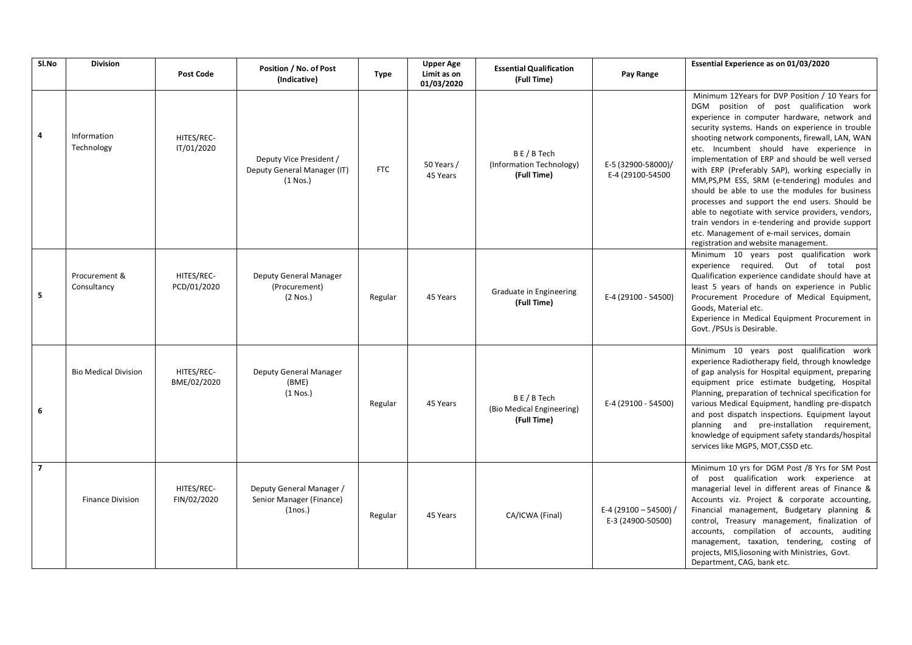| Sl.No          | <b>Division</b>              | <b>Post Code</b>          | Position / No. of Post<br>(Indicative)                                       | <b>Type</b> | <b>Upper Age</b><br>Limit as on<br>01/03/2020 | <b>Essential Qualification</b><br>(Full Time)        | Pay Range                                | Essential Experience as on 01/03/2020                                                                                                                                                                                                                                                                                                                                                                                                                                                                                                                                                                                                                                                                                                                   |
|----------------|------------------------------|---------------------------|------------------------------------------------------------------------------|-------------|-----------------------------------------------|------------------------------------------------------|------------------------------------------|---------------------------------------------------------------------------------------------------------------------------------------------------------------------------------------------------------------------------------------------------------------------------------------------------------------------------------------------------------------------------------------------------------------------------------------------------------------------------------------------------------------------------------------------------------------------------------------------------------------------------------------------------------------------------------------------------------------------------------------------------------|
| 4              | Information<br>Technology    | HITES/REC-<br>IT/01/2020  | Deputy Vice President /<br>Deputy General Manager (IT)<br>$(1$ Nos.)         | <b>FTC</b>  | 50 Years /<br>45 Years                        | BE/BTech<br>(Information Technology)<br>(Full Time)  | E-5 (32900-58000)/<br>E-4 (29100-54500   | Minimum 12Years for DVP Position / 10 Years for<br>DGM position of post qualification work<br>experience in computer hardware, network and<br>security systems. Hands on experience in trouble<br>shooting network components, firewall, LAN, WAN<br>etc. Incumbent should have experience in<br>implementation of ERP and should be well versed<br>with ERP (Preferably SAP), working especially in<br>MM,PS,PM ESS, SRM (e-tendering) modules and<br>should be able to use the modules for business<br>processes and support the end users. Should be<br>able to negotiate with service providers, vendors,<br>train vendors in e-tendering and provide support<br>etc. Management of e-mail services, domain<br>registration and website management. |
| 5              | Procurement &<br>Consultancy | HITES/REC-<br>PCD/01/2020 | Deputy General Manager<br>(Procurement)<br>$(2$ Nos.)                        | Regular     | 45 Years                                      | Graduate in Engineering<br>(Full Time)               | E-4 (29100 - 54500)                      | Minimum 10 years post qualification work<br>experience required. Out of total<br>post<br>Qualification experience candidate should have at<br>least 5 years of hands on experience in Public<br>Procurement Procedure of Medical Equipment,<br>Goods, Material etc.<br>Experience in Medical Equipment Procurement in<br>Govt. / PSUs is Desirable.                                                                                                                                                                                                                                                                                                                                                                                                     |
| 6              | <b>Bio Medical Division</b>  | HITES/REC-<br>BME/02/2020 | Deputy General Manager<br>(BME)<br>$(1$ Nos.)                                | Regular     | 45 Years                                      | BE/BTech<br>(Bio Medical Engineering)<br>(Full Time) | E-4 (29100 - 54500)                      | Minimum 10 years post qualification work<br>experience Radiotherapy field, through knowledge<br>of gap analysis for Hospital equipment, preparing<br>equipment price estimate budgeting, Hospital<br>Planning, preparation of technical specification for<br>various Medical Equipment, handling pre-dispatch<br>and post dispatch inspections. Equipment layout<br>planning and pre-installation requirement,<br>knowledge of equipment safety standards/hospital<br>services like MGPS, MOT, CSSD etc.                                                                                                                                                                                                                                                |
| $\overline{7}$ | <b>Finance Division</b>      | HITES/REC-<br>FIN/02/2020 | Deputy General Manager /<br>Senior Manager (Finance)<br>(1 <sub>nos.</sub> ) | Regular     | 45 Years                                      | CA/ICWA (Final)                                      | E-4 (29100 - 54500)<br>E-3 (24900-50500) | Minimum 10 yrs for DGM Post /8 Yrs for SM Post<br>of post qualification work experience at<br>managerial level in different areas of Finance &<br>Accounts viz. Project & corporate accounting,<br>Financial management, Budgetary planning &<br>control, Treasury management, finalization of<br>accounts, compilation of accounts, auditing<br>management, taxation, tendering, costing of<br>projects, MIS, liosoning with Ministries, Govt.<br>Department, CAG, bank etc.                                                                                                                                                                                                                                                                           |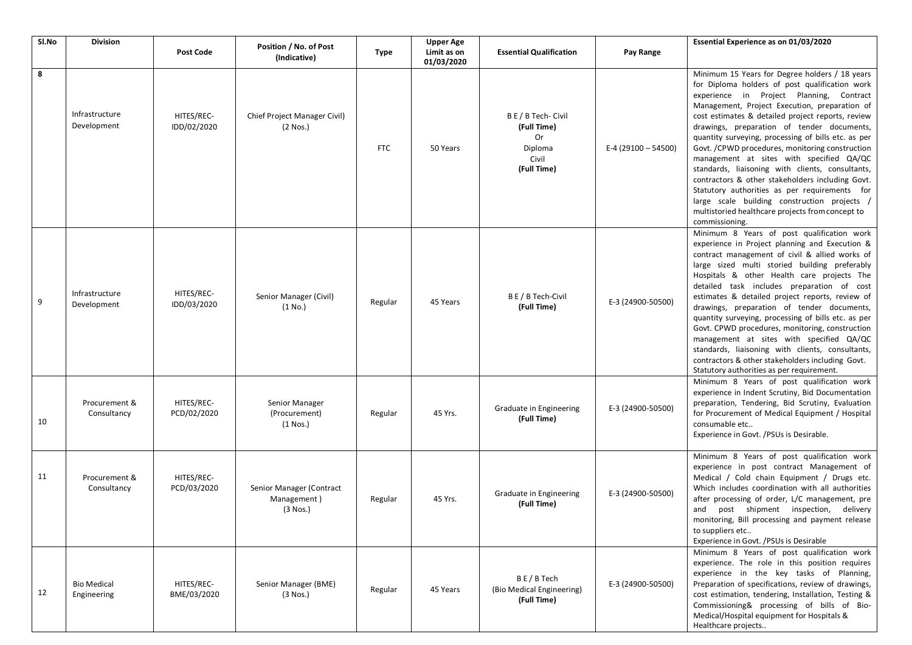| SI.No | <b>Division</b>                   |                           | <b>Upper Age</b>                                      |            |                           |                                                                             | Essential Experience as on 01/03/2020 |                                                                                                                                                                                                                                                                                                                                                                                                                                                                                                                                                                                                                                                                                                                                        |  |
|-------|-----------------------------------|---------------------------|-------------------------------------------------------|------------|---------------------------|-----------------------------------------------------------------------------|---------------------------------------|----------------------------------------------------------------------------------------------------------------------------------------------------------------------------------------------------------------------------------------------------------------------------------------------------------------------------------------------------------------------------------------------------------------------------------------------------------------------------------------------------------------------------------------------------------------------------------------------------------------------------------------------------------------------------------------------------------------------------------------|--|
|       |                                   | <b>Post Code</b>          | Position / No. of Post<br>(Indicative)                | Type       | Limit as on<br>01/03/2020 | <b>Essential Qualification</b>                                              | Pay Range                             |                                                                                                                                                                                                                                                                                                                                                                                                                                                                                                                                                                                                                                                                                                                                        |  |
| 8     | Infrastructure<br>Development     | HITES/REC-<br>IDD/02/2020 | Chief Project Manager Civil)<br>$(2$ Nos.)            | <b>FTC</b> | 50 Years                  | B E / B Tech- Civil<br>(Full Time)<br>Or<br>Diploma<br>Civil<br>(Full Time) | E-4 (29100 - 54500)                   | Minimum 15 Years for Degree holders / 18 years<br>for Diploma holders of post qualification work<br>experience in Project Planning, Contract<br>Management, Project Execution, preparation of<br>cost estimates & detailed project reports, review<br>drawings, preparation of tender documents,<br>quantity surveying, processing of bills etc. as per<br>Govt. / CPWD procedures, monitoring construction<br>management at sites with specified QA/QC<br>standards, liaisoning with clients, consultants,<br>contractors & other stakeholders including Govt.<br>Statutory authorities as per requirements for<br>large scale building construction projects /<br>multistoried healthcare projects from concept to<br>commissioning. |  |
| 9     | Infrastructure<br>Development     | HITES/REC-<br>IDD/03/2020 | Senior Manager (Civil)<br>(1 No.)                     | Regular    | 45 Years                  | B E / B Tech-Civil<br>(Full Time)                                           | E-3 (24900-50500)                     | Minimum 8 Years of post qualification work<br>experience in Project planning and Execution &<br>contract management of civil & allied works of<br>large sized multi storied building preferably<br>Hospitals & other Health care projects The<br>detailed task includes preparation of cost<br>estimates & detailed project reports, review of<br>drawings, preparation of tender documents,<br>quantity surveying, processing of bills etc. as per<br>Govt. CPWD procedures, monitoring, construction<br>management at sites with specified QA/QC<br>standards, liaisoning with clients, consultants,<br>contractors & other stakeholders including Govt.<br>Statutory authorities as per requirement.                                |  |
| 10    | Procurement &<br>Consultancy      | HITES/REC-<br>PCD/02/2020 | Senior Manager<br>(Procurement)<br>$(1$ Nos.)         | Regular    | 45 Yrs.                   | Graduate in Engineering<br>(Full Time)                                      | E-3 (24900-50500)                     | Minimum 8 Years of post qualification work<br>experience in Indent Scrutiny, Bid Documentation<br>preparation, Tendering, Bid Scrutiny, Evaluation<br>for Procurement of Medical Equipment / Hospital<br>consumable etc<br>Experience in Govt. / PSUs is Desirable.                                                                                                                                                                                                                                                                                                                                                                                                                                                                    |  |
| 11    | Procurement &<br>Consultancy      | HITES/REC-<br>PCD/03/2020 | Senior Manager (Contract<br>Management)<br>$(3$ Nos.) | Regular    | 45 Yrs.                   | Graduate in Engineering<br>(Full Time)                                      | E-3 (24900-50500)                     | Minimum 8 Years of post qualification work<br>experience in post contract Management of<br>Medical / Cold chain Equipment / Drugs etc.<br>Which includes coordination with all authorities<br>after processing of order, L/C management, pre<br>post shipment inspection, delivery<br>and<br>monitoring, Bill processing and payment release<br>to suppliers etc<br>Experience in Govt. / PSUs is Desirable                                                                                                                                                                                                                                                                                                                            |  |
| 12    | <b>Bio Medical</b><br>Engineering | HITES/REC-<br>BME/03/2020 | Senior Manager (BME)<br>$(3$ Nos.)                    | Regular    | 45 Years                  | BE/B Tech<br>(Bio Medical Engineering)<br>(Full Time)                       | E-3 (24900-50500)                     | Minimum 8 Years of post qualification work<br>experience. The role in this position requires<br>experience in the key tasks of Planning,<br>Preparation of specifications, review of drawings,<br>cost estimation, tendering, Installation, Testing &<br>Commissioning& processing of bills of Bio-<br>Medical/Hospital equipment for Hospitals &<br>Healthcare projects                                                                                                                                                                                                                                                                                                                                                               |  |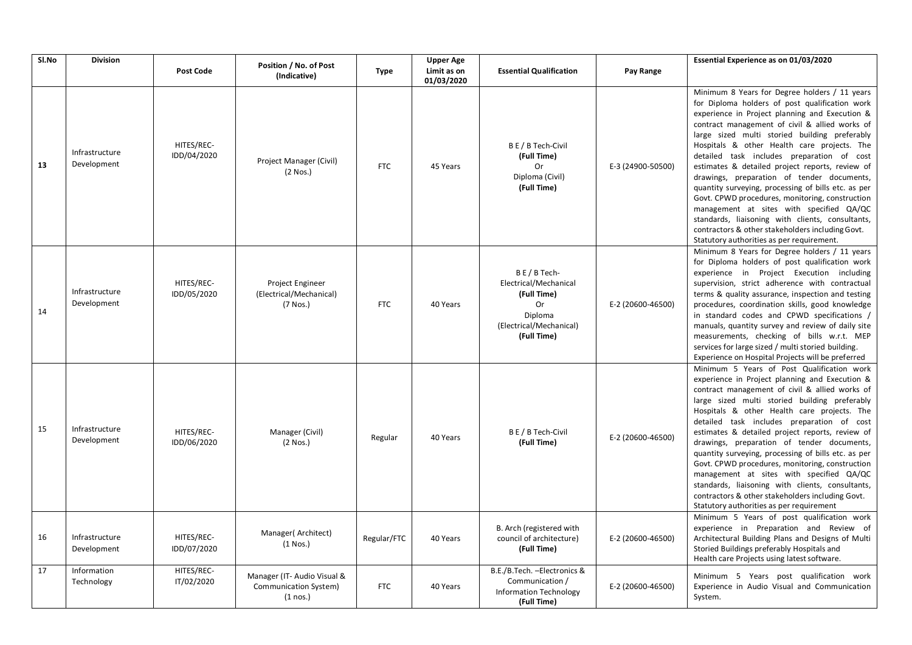| Sl.No | <b>Division</b>               | <b>Post Code</b>          | Position / No. of Post                                             | <b>Type</b> | <b>Upper Age</b><br>Limit as on | <b>Essential Qualification</b>                                                                                            | Pay Range         | Essential Experience as on 01/03/2020                                                                                                                                                                                                                                                                                                                                                                                                                                                                                                                                                                                                                                                                                                                         |
|-------|-------------------------------|---------------------------|--------------------------------------------------------------------|-------------|---------------------------------|---------------------------------------------------------------------------------------------------------------------------|-------------------|---------------------------------------------------------------------------------------------------------------------------------------------------------------------------------------------------------------------------------------------------------------------------------------------------------------------------------------------------------------------------------------------------------------------------------------------------------------------------------------------------------------------------------------------------------------------------------------------------------------------------------------------------------------------------------------------------------------------------------------------------------------|
|       |                               |                           | (Indicative)                                                       |             | 01/03/2020                      |                                                                                                                           |                   |                                                                                                                                                                                                                                                                                                                                                                                                                                                                                                                                                                                                                                                                                                                                                               |
| 13    | Infrastructure<br>Development | HITES/REC-<br>IDD/04/2020 | Project Manager (Civil)<br>$(2$ Nos.)                              | <b>FTC</b>  | 45 Years                        | B E / B Tech-Civil<br>(Full Time)<br>Or<br>Diploma (Civil)<br>(Full Time)                                                 | E-3 (24900-50500) | Minimum 8 Years for Degree holders / 11 years<br>for Diploma holders of post qualification work<br>experience in Project planning and Execution &<br>contract management of civil & allied works of<br>large sized multi storied building preferably<br>Hospitals & other Health care projects. The<br>detailed task includes preparation of cost<br>estimates & detailed project reports, review of<br>drawings, preparation of tender documents,<br>quantity surveying, processing of bills etc. as per<br>Govt. CPWD procedures, monitoring, construction<br>management at sites with specified QA/QC<br>standards, liaisoning with clients, consultants,<br>contractors & other stakeholders including Govt.<br>Statutory authorities as per requirement. |
| 14    | Infrastructure<br>Development | HITES/REC-<br>IDD/05/2020 | Project Engineer<br>(Electrical/Mechanical)<br>(7 Nos.)            | <b>FTC</b>  | 40 Years                        | $B E / B$ Tech-<br>Electrical/Mechanical<br>(Full Time)<br><b>Or</b><br>Diploma<br>(Electrical/Mechanical)<br>(Full Time) | E-2 (20600-46500) | Minimum 8 Years for Degree holders / 11 years<br>for Diploma holders of post qualification work<br>experience in Project Execution including<br>supervision, strict adherence with contractual<br>terms & quality assurance, inspection and testing<br>procedures, coordination skills, good knowledge<br>in standard codes and CPWD specifications /<br>manuals, quantity survey and review of daily site<br>measurements, checking of bills w.r.t. MEP<br>services for large sized / multi storied building.<br>Experience on Hospital Projects will be preferred                                                                                                                                                                                           |
| 15    | Infrastructure<br>Development | HITES/REC-<br>IDD/06/2020 | Manager (Civil)<br>$(2$ Nos.)                                      | Regular     | 40 Years                        | B E / B Tech-Civil<br>(Full Time)                                                                                         | E-2 (20600-46500) | Minimum 5 Years of Post Qualification work<br>experience in Project planning and Execution &<br>contract management of civil & allied works of<br>large sized multi storied building preferably<br>Hospitals & other Health care projects. The<br>detailed task includes preparation of cost<br>estimates & detailed project reports, review of<br>drawings, preparation of tender documents,<br>quantity surveying, processing of bills etc. as per<br>Govt. CPWD procedures, monitoring, construction<br>management at sites with specified QA/QC<br>standards, liaisoning with clients, consultants,<br>contractors & other stakeholders including Govt.<br>Statutory authorities as per requirement                                                       |
| 16    | Infrastructure<br>Development | HITES/REC-<br>IDD/07/2020 | Manager(Architect)<br>$(1$ Nos.)                                   | Regular/FTC | 40 Years                        | B. Arch (registered with<br>council of architecture)<br>(Full Time)                                                       | E-2 (20600-46500) | Minimum 5 Years of post qualification work<br>experience in Preparation and Review of<br>Architectural Building Plans and Designs of Multi<br>Storied Buildings preferably Hospitals and<br>Health care Projects using latest software.                                                                                                                                                                                                                                                                                                                                                                                                                                                                                                                       |
| 17    | Information<br>Technology     | HITES/REC-<br>IT/02/2020  | Manager (IT- Audio Visual &<br>Communication System)<br>$(1$ nos.) | <b>FTC</b>  | 40 Years                        | B.E./B.Tech. - Electronics &<br>Communication /<br><b>Information Technology</b><br>(Full Time)                           | E-2 (20600-46500) | Minimum 5 Years post qualification work<br>Experience in Audio Visual and Communication<br>System.                                                                                                                                                                                                                                                                                                                                                                                                                                                                                                                                                                                                                                                            |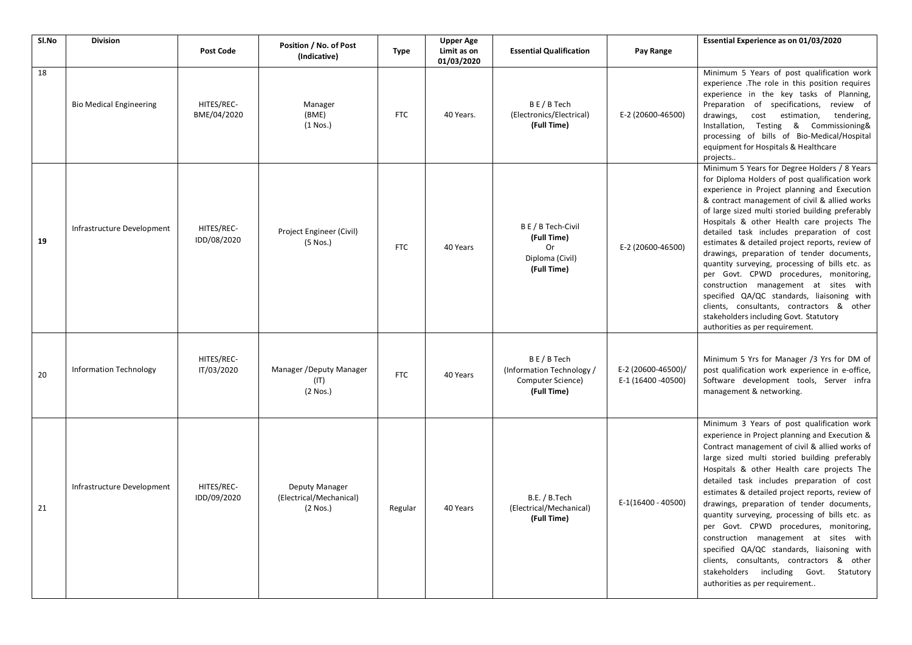| SI.No | <b>Division</b>                | <b>Post Code</b>          | Position / No. of Post                                  | Type       | <b>Upper Age</b><br>Limit as on | <b>Essential Qualification</b>                                            | Pay Range                                | Essential Experience as on 01/03/2020                                                                                                                                                                                                                                                                                                                                                                                                                                                                                                                                                                                                                                                                                                                          |
|-------|--------------------------------|---------------------------|---------------------------------------------------------|------------|---------------------------------|---------------------------------------------------------------------------|------------------------------------------|----------------------------------------------------------------------------------------------------------------------------------------------------------------------------------------------------------------------------------------------------------------------------------------------------------------------------------------------------------------------------------------------------------------------------------------------------------------------------------------------------------------------------------------------------------------------------------------------------------------------------------------------------------------------------------------------------------------------------------------------------------------|
|       |                                |                           | (Indicative)                                            |            | 01/03/2020                      |                                                                           |                                          |                                                                                                                                                                                                                                                                                                                                                                                                                                                                                                                                                                                                                                                                                                                                                                |
| 18    | <b>Bio Medical Engineering</b> | HITES/REC-<br>BME/04/2020 | Manager<br>(BME)<br>$(1$ Nos.)                          | <b>FTC</b> | 40 Years.                       | BE/BTech<br>(Electronics/Electrical)<br>(Full Time)                       | E-2 (20600-46500)                        | Minimum 5 Years of post qualification work<br>experience .The role in this position requires<br>experience in the key tasks of Planning,<br>Preparation of specifications, review of<br>drawings,<br>cost estimation, tendering,<br>Installation, Testing & Commissioning&<br>processing of bills of Bio-Medical/Hospital<br>equipment for Hospitals & Healthcare<br>projects                                                                                                                                                                                                                                                                                                                                                                                  |
| 19    | Infrastructure Development     | HITES/REC-<br>IDD/08/2020 | Project Engineer (Civil)<br>$(5$ Nos.)                  | <b>FTC</b> | 40 Years                        | B E / B Tech-Civil<br>(Full Time)<br>0r<br>Diploma (Civil)<br>(Full Time) | E-2 (20600-46500)                        | Minimum 5 Years for Degree Holders / 8 Years<br>for Diploma Holders of post qualification work<br>experience in Project planning and Execution<br>& contract management of civil & allied works<br>of large sized multi storied building preferably<br>Hospitals & other Health care projects The<br>detailed task includes preparation of cost<br>estimates & detailed project reports, review of<br>drawings, preparation of tender documents,<br>quantity surveying, processing of bills etc. as<br>per Govt. CPWD procedures, monitoring,<br>construction management at sites with<br>specified QA/QC standards, liaisoning with<br>clients, consultants, contractors & other<br>stakeholders including Govt. Statutory<br>authorities as per requirement. |
| 20    | <b>Information Technology</b>  | HITES/REC-<br>IT/03/2020  | Manager / Deputy Manager<br>(IT)<br>$(2$ Nos.)          | <b>FTC</b> | 40 Years                        | BE/BTech<br>(Information Technology /<br>Computer Science)<br>(Full Time) | E-2 (20600-46500)/<br>E-1 (16400 -40500) | Minimum 5 Yrs for Manager /3 Yrs for DM of<br>post qualification work experience in e-office,<br>Software development tools, Server infra<br>management & networking.                                                                                                                                                                                                                                                                                                                                                                                                                                                                                                                                                                                          |
| 21    | Infrastructure Development     | HITES/REC-<br>IDD/09/2020 | Deputy Manager<br>(Electrical/Mechanical)<br>$(2$ Nos.) | Regular    | 40 Years                        | B.E. / B.Tech<br>(Electrical/Mechanical)<br>(Full Time)                   | E-1(16400 - 40500)                       | Minimum 3 Years of post qualification work<br>experience in Project planning and Execution &<br>Contract management of civil & allied works of<br>large sized multi storied building preferably<br>Hospitals & other Health care projects The<br>detailed task includes preparation of cost<br>estimates & detailed project reports, review of<br>drawings, preparation of tender documents,<br>quantity surveying, processing of bills etc. as<br>per Govt. CPWD procedures, monitoring,<br>construction management at sites with<br>specified QA/QC standards, liaisoning with<br>clients, consultants, contractors & other<br>stakeholders including Govt. Statutory<br>authorities as per requirement                                                      |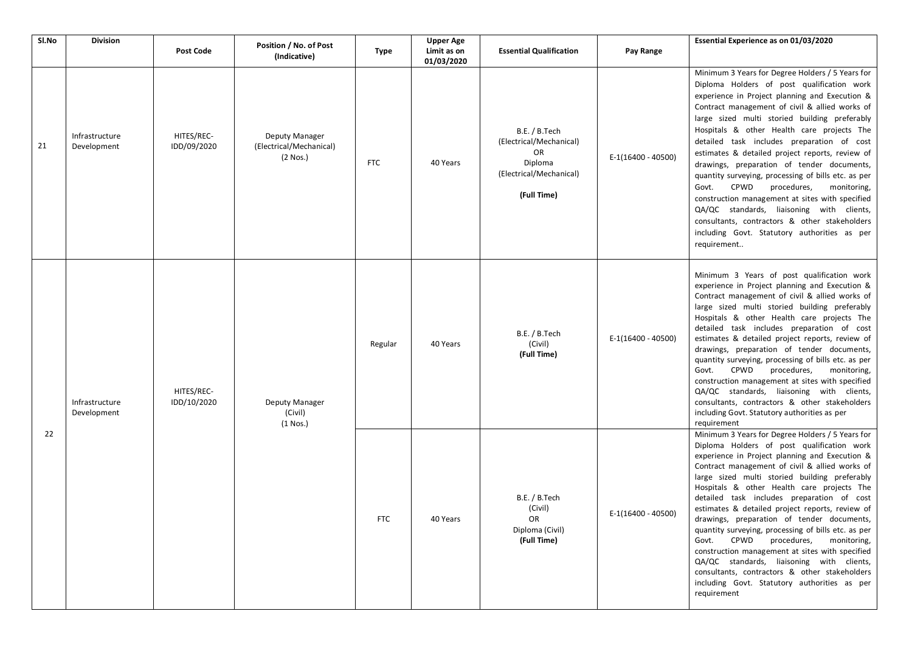| Sl.No | <b>Division</b>               |                           |                                                         |             | <b>Upper Age</b>          |                                                                                                            |                    | Essential Experience as on 01/03/2020                                                                                                                                                                                                                                                                                                                                                                                                                                                                                                                                                                                                                                                                                                                                  |
|-------|-------------------------------|---------------------------|---------------------------------------------------------|-------------|---------------------------|------------------------------------------------------------------------------------------------------------|--------------------|------------------------------------------------------------------------------------------------------------------------------------------------------------------------------------------------------------------------------------------------------------------------------------------------------------------------------------------------------------------------------------------------------------------------------------------------------------------------------------------------------------------------------------------------------------------------------------------------------------------------------------------------------------------------------------------------------------------------------------------------------------------------|
|       |                               | <b>Post Code</b>          | Position / No. of Post<br>(Indicative)                  | <b>Type</b> | Limit as on<br>01/03/2020 | <b>Essential Qualification</b>                                                                             | Pay Range          |                                                                                                                                                                                                                                                                                                                                                                                                                                                                                                                                                                                                                                                                                                                                                                        |
| 21    | Infrastructure<br>Development | HITES/REC-<br>IDD/09/2020 | Deputy Manager<br>(Electrical/Mechanical)<br>$(2$ Nos.) | <b>FTC</b>  | 40 Years                  | B.E. / B.Tech<br>(Electrical/Mechanical)<br><b>OR</b><br>Diploma<br>(Electrical/Mechanical)<br>(Full Time) | E-1(16400 - 40500) | Minimum 3 Years for Degree Holders / 5 Years for<br>Diploma Holders of post qualification work<br>experience in Project planning and Execution &<br>Contract management of civil & allied works of<br>large sized multi storied building preferably<br>Hospitals & other Health care projects The<br>detailed task includes preparation of cost<br>estimates & detailed project reports, review of<br>drawings, preparation of tender documents,<br>quantity surveying, processing of bills etc. as per<br>CPWD<br>procedures,<br>Govt.<br>monitoring,<br>construction management at sites with specified<br>QA/QC standards, liaisoning with clients,<br>consultants, contractors & other stakeholders<br>including Govt. Statutory authorities as per<br>requirement |
| 22    | Infrastructure<br>Development | HITES/REC-<br>IDD/10/2020 | Deputy Manager<br>(Civil)<br>$(1$ Nos.)                 | Regular     | 40 Years                  | B.E. / B.Tech<br>(Civil)<br>(Full Time)                                                                    | E-1(16400 - 40500) | Minimum 3 Years of post qualification work<br>experience in Project planning and Execution &<br>Contract management of civil & allied works of<br>large sized multi storied building preferably<br>Hospitals & other Health care projects The<br>detailed task includes preparation of cost<br>estimates & detailed project reports, review of<br>drawings, preparation of tender documents,<br>quantity surveying, processing of bills etc. as per<br>CPWD<br>Govt.<br>procedures,<br>monitoring,<br>construction management at sites with specified<br>QA/QC standards, liaisoning with clients,<br>consultants, contractors & other stakeholders<br>including Govt. Statutory authorities as per<br>requirement                                                     |
|       |                               |                           |                                                         | <b>FTC</b>  | 40 Years                  | B.E. / B.Tech<br>(Civil)<br><b>UK</b><br>Diploma (Civil)<br>(Full Time)                                    | E-1(16400 - 40500) | Minimum 3 Years for Degree Holders / 5 Years for<br>Diploma Holders of post qualification work<br>experience in Project planning and Execution &<br>Contract management of civil & allied works of<br>large sized multi storied building preferably<br>Hospitals & other Health care projects The<br>detailed task includes preparation of cost<br>estimates & detailed project reports, review of<br>drawings, preparation of tender documents,<br>quantity surveying, processing of bills etc. as per<br>Govt. CPWD<br>procedures,<br>monitoring,<br>construction management at sites with specified<br>QA/QC standards, liaisoning with clients,<br>consultants, contractors & other stakeholders<br>including Govt. Statutory authorities as per<br>requirement    |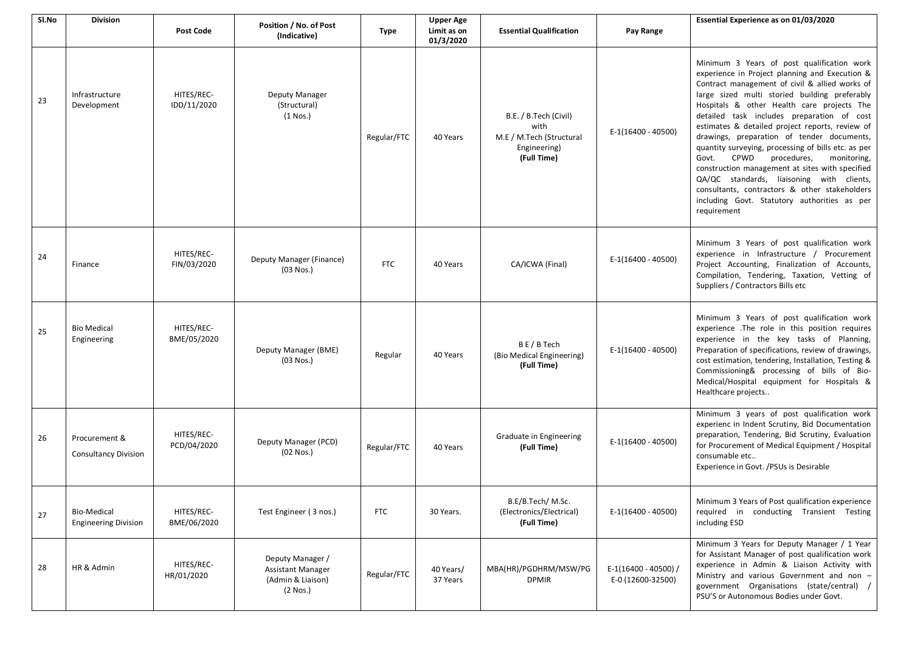| Sl.No | <b>Division</b>                              | <b>Post Code</b>          | Position / No. of Post<br>(Indicative)                                        | <b>Type</b> | <b>Upper Age</b><br>Limit as on<br>01/3/2020 | <b>Essential Qualification</b>                                                           | Pay Range                                 | Essential Experience as on 01/03/2020                                                                                                                                                                                                                                                                                                                                                                                                                                                                                                                                                                                                                                                                              |
|-------|----------------------------------------------|---------------------------|-------------------------------------------------------------------------------|-------------|----------------------------------------------|------------------------------------------------------------------------------------------|-------------------------------------------|--------------------------------------------------------------------------------------------------------------------------------------------------------------------------------------------------------------------------------------------------------------------------------------------------------------------------------------------------------------------------------------------------------------------------------------------------------------------------------------------------------------------------------------------------------------------------------------------------------------------------------------------------------------------------------------------------------------------|
| 23    | Infrastructure<br>Development                | HITES/REC-<br>IDD/11/2020 | Deputy Manager<br>(Structural)<br>$(1$ Nos.)                                  | Regular/FTC | 40 Years                                     | B.E. / B.Tech (Civil)<br>with<br>M.E / M.Tech (Structural<br>Engineering)<br>(Full Time) | E-1(16400 - 40500)                        | Minimum 3 Years of post qualification work<br>experience in Project planning and Execution &<br>Contract management of civil & allied works of<br>large sized multi storied building preferably<br>Hospitals & other Health care projects The<br>detailed task includes preparation of cost<br>estimates & detailed project reports, review of<br>drawings, preparation of tender documents,<br>quantity surveying, processing of bills etc. as per<br>CPWD<br>procedures,<br>monitoring,<br>Govt.<br>construction management at sites with specified<br>QA/QC standards, liaisoning with clients,<br>consultants, contractors & other stakeholders<br>including Govt. Statutory authorities as per<br>requirement |
| 24    | Finance                                      | HITES/REC-<br>FIN/03/2020 | Deputy Manager (Finance)<br>(03 Nos.)                                         | <b>FTC</b>  | 40 Years                                     | CA/ICWA (Final)                                                                          | E-1(16400 - 40500)                        | Minimum 3 Years of post qualification work<br>experience in Infrastructure / Procurement<br>Project Accounting, Finalization of Accounts,<br>Compilation, Tendering, Taxation, Vetting of<br>Suppliers / Contractors Bills etc                                                                                                                                                                                                                                                                                                                                                                                                                                                                                     |
| 25    | <b>Bio Medical</b><br>Engineering            | HITES/REC-<br>BME/05/2020 | Deputy Manager (BME)<br>$(03$ Nos.)                                           | Regular     | 40 Years                                     | B E / B Tech<br>(Bio Medical Engineering)<br>(Full Time)                                 | E-1(16400 - 40500)                        | Minimum 3 Years of post qualification work<br>experience .The role in this position requires<br>experience in the key tasks of Planning,<br>Preparation of specifications, review of drawings,<br>cost estimation, tendering, Installation, Testing &<br>Commissioning& processing of bills of Bio-<br>Medical/Hospital equipment for Hospitals &<br>Healthcare projects                                                                                                                                                                                                                                                                                                                                           |
| 26    | Procurement &<br><b>Consultancy Division</b> | HITES/REC-<br>PCD/04/2020 | Deputy Manager (PCD)<br>(02 Nos.)                                             | Regular/FTC | 40 Years                                     | Graduate in Engineering<br>(Full Time)                                                   | E-1(16400 - 40500)                        | Minimum 3 years of post qualification work<br>experienc in Indent Scrutiny, Bid Documentation<br>preparation, Tendering, Bid Scrutiny, Evaluation<br>for Procurement of Medical Equipment / Hospital<br>consumable etc<br>Experience in Govt. / PSUs is Desirable                                                                                                                                                                                                                                                                                                                                                                                                                                                  |
| 27    | Bio-Medical<br><b>Engineering Division</b>   | HITES/REC-<br>BME/06/2020 | Test Engineer (3 nos.)                                                        | <b>FTC</b>  | 30 Years.                                    | B.E/B.Tech/ M.Sc.<br>(Electronics/Electrical)<br>(Full Time)                             | $E-1(16400 - 40500)$                      | Minimum 3 Years of Post qualification experience<br>required in conducting Transient Testing<br>including ESD                                                                                                                                                                                                                                                                                                                                                                                                                                                                                                                                                                                                      |
| 28    | HR & Admin                                   | HITES/REC-<br>HR/01/2020  | Deputy Manager /<br><b>Assistant Manager</b><br>(Admin & Liaison)<br>(2 Nos.) | Regular/FTC | 40 Years/<br>37 Years                        | MBA(HR)/PGDHRM/MSW/PG<br><b>DPMIR</b>                                                    | E-1(16400 - 40500) /<br>E-0 (12600-32500) | Minimum 3 Years for Deputy Manager / 1 Year<br>for Assistant Manager of post qualification work<br>experience in Admin & Liaison Activity with<br>Ministry and various Government and non -<br>government Organisations (state/central) /<br>PSU'S or Autonomous Bodies under Govt.                                                                                                                                                                                                                                                                                                                                                                                                                                |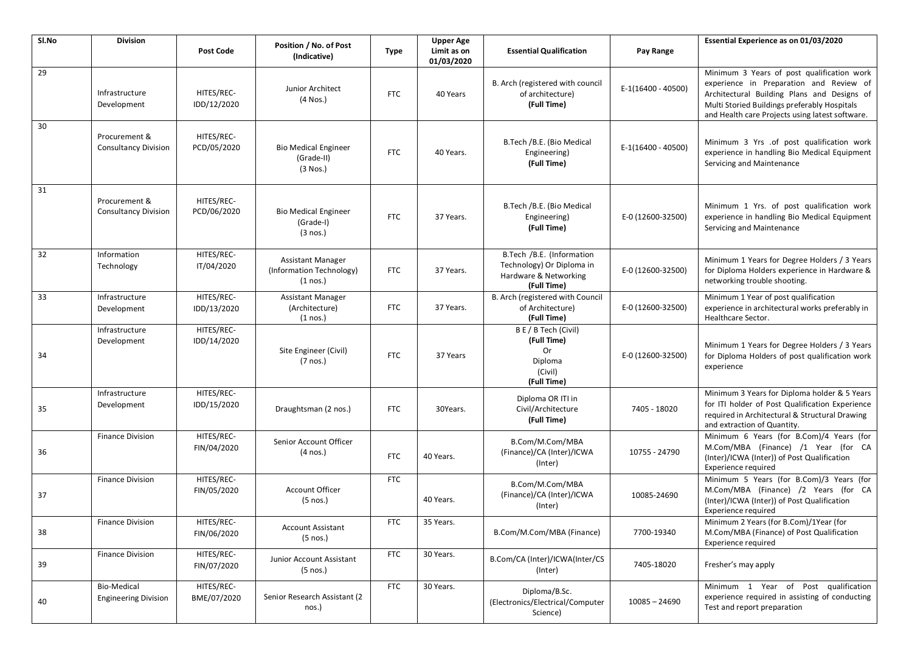| Sl.No | <b>Division</b>                              | Post Code                 | Position / No. of Post<br>(Indicative)                             | <b>Type</b> | <b>Upper Age</b><br>Limit as on<br>01/03/2020 | <b>Essential Qualification</b>                                                                 | Pay Range          | Essential Experience as on 01/03/2020                                                                                                                                                                                                   |
|-------|----------------------------------------------|---------------------------|--------------------------------------------------------------------|-------------|-----------------------------------------------|------------------------------------------------------------------------------------------------|--------------------|-----------------------------------------------------------------------------------------------------------------------------------------------------------------------------------------------------------------------------------------|
| 29    | Infrastructure<br>Development                | HITES/REC-<br>IDD/12/2020 | Junior Architect<br>$(4$ Nos.)                                     | <b>FTC</b>  | 40 Years                                      | B. Arch (registered with council<br>of architecture)<br>(Full Time)                            | E-1(16400 - 40500) | Minimum 3 Years of post qualification work<br>experience in Preparation and Review of<br>Architectural Building Plans and Designs of<br>Multi Storied Buildings preferably Hospitals<br>and Health care Projects using latest software. |
| 30    | Procurement &<br><b>Consultancy Division</b> | HITES/REC-<br>PCD/05/2020 | <b>Bio Medical Engineer</b><br>(Grade-II)<br>$(3$ Nos.)            | <b>FTC</b>  | 40 Years.                                     | B.Tech /B.E. (Bio Medical<br>Engineering)<br>(Full Time)                                       | E-1(16400 - 40500) | Minimum 3 Yrs .of post qualification work<br>experience in handling Bio Medical Equipment<br>Servicing and Maintenance                                                                                                                  |
| 31    | Procurement &<br><b>Consultancy Division</b> | HITES/REC-<br>PCD/06/2020 | <b>Bio Medical Engineer</b><br>(Grade-I)<br>(3 nos.)               | <b>FTC</b>  | 37 Years.                                     | B.Tech /B.E. (Bio Medical<br>Engineering)<br>(Full Time)                                       | E-0 (12600-32500)  | Minimum 1 Yrs. of post qualification work<br>experience in handling Bio Medical Equipment<br>Servicing and Maintenance                                                                                                                  |
| 32    | Information<br>Technology                    | HITES/REC-<br>IT/04/2020  | <b>Assistant Manager</b><br>(Information Technology)<br>$(1$ nos.) | <b>FTC</b>  | 37 Years.                                     | B.Tech /B.E. (Information<br>Technology) Or Diploma in<br>Hardware & Networking<br>(Full Time) | E-0 (12600-32500)  | Minimum 1 Years for Degree Holders / 3 Years<br>for Diploma Holders experience in Hardware &<br>networking trouble shooting.                                                                                                            |
| 33    | Infrastructure<br>Development                | HITES/REC-<br>IDD/13/2020 | <b>Assistant Manager</b><br>(Architecture)<br>$(1$ nos.)           | <b>FTC</b>  | 37 Years.                                     | B. Arch (registered with Council<br>of Architecture)<br>(Full Time)                            | E-0 (12600-32500)  | Minimum 1 Year of post qualification<br>experience in architectural works preferably in<br>Healthcare Sector.                                                                                                                           |
| 34    | Infrastructure<br>Development                | HITES/REC-<br>IDD/14/2020 | Site Engineer (Civil)<br>$(7$ nos.)                                | <b>FTC</b>  | 37 Years                                      | B E / B Tech (Civil)<br>(Full Time)<br><b>Or</b><br>Diploma<br>(Civil)<br>(Full Time)          | E-0 (12600-32500)  | Minimum 1 Years for Degree Holders / 3 Years<br>for Diploma Holders of post qualification work<br>experience                                                                                                                            |
| 35    | Infrastructure<br>Development                | HITES/REC-<br>IDD/15/2020 | Draughtsman (2 nos.)                                               | <b>FTC</b>  | 30Years.                                      | Diploma OR ITI in<br>Civil/Architecture<br>(Full Time)                                         | 7405 - 18020       | Minimum 3 Years for Diploma holder & 5 Years<br>for ITI holder of Post Qualification Experience<br>required in Architectural & Structural Drawing<br>and extraction of Quantity.                                                        |
| 36    | <b>Finance Division</b>                      | HITES/REC-<br>FIN/04/2020 | Senior Account Officer<br>(4 nos.)                                 | <b>FTC</b>  | 40 Years.                                     | B.Com/M.Com/MBA<br>(Finance)/CA (Inter)/ICWA<br>(Inter)                                        | 10755 - 24790      | Minimum 6 Years (for B.Com)/4 Years (for<br>M.Com/MBA (Finance) /1 Year (for CA<br>(Inter)/ICWA (Inter)) of Post Qualification<br>Experience required                                                                                   |
| 37    | <b>Finance Division</b>                      | HITES/REC-<br>FIN/05/2020 | <b>Account Officer</b><br>(5 nos.)                                 | <b>FTC</b>  | 40 Years.                                     | B.Com/M.Com/MBA<br>(Finance)/CA (Inter)/ICWA<br>(Inter)                                        | 10085-24690        | Minimum 5 Years (for B.Com)/3 Years (for<br>M.Com/MBA (Finance) /2 Years (for CA<br>(Inter)/ICWA (Inter)) of Post Qualification<br>Experience required                                                                                  |
| 38    | <b>Finance Division</b>                      | HITES/REC-<br>FIN/06/2020 | <b>Account Assistant</b><br>(5 nos.)                               | <b>FTC</b>  | 35 Years.                                     | B.Com/M.Com/MBA (Finance)                                                                      | 7700-19340         | Minimum 2 Years (for B.Com)/1Year (for<br>M.Com/MBA (Finance) of Post Qualification<br><b>Experience required</b>                                                                                                                       |
| 39    | <b>Finance Division</b>                      | HITES/REC-<br>FIN/07/2020 | Junior Account Assistant<br>$(5 \text{ nos.})$                     | <b>FTC</b>  | 30 Years.                                     | B.Com/CA (Inter)/ICWA(Inter/CS<br>(Inter)                                                      | 7405-18020         | Fresher's may apply                                                                                                                                                                                                                     |
| 40    | Bio-Medical<br><b>Engineering Division</b>   | HITES/REC-<br>BME/07/2020 | Senior Research Assistant (2<br>nos.)                              | <b>FTC</b>  | 30 Years.                                     | Diploma/B.Sc.<br>(Electronics/Electrical/Computer<br>Science)                                  | 10085 - 24690      | Minimum 1 Year of Post qualification<br>experience required in assisting of conducting<br>Test and report preparation                                                                                                                   |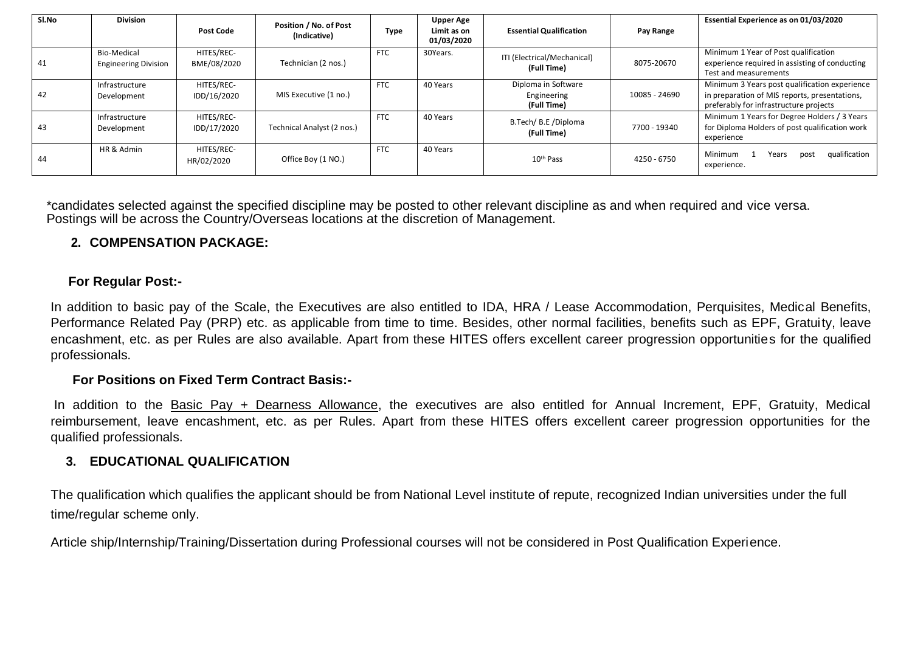| Sl.No | <b>Division</b>                            | <b>Post Code</b>          | Position / No. of Post<br>(Indicative) | Type       | <b>Upper Age</b><br>Limit as on<br>01/03/2020 | <b>Essential Qualification</b>                    | Pay Range     | Essential Experience as on 01/03/2020                                                                                                    |
|-------|--------------------------------------------|---------------------------|----------------------------------------|------------|-----------------------------------------------|---------------------------------------------------|---------------|------------------------------------------------------------------------------------------------------------------------------------------|
| 41    | Bio-Medical<br><b>Engineering Division</b> | HITES/REC-<br>BME/08/2020 | Technician (2 nos.)                    | <b>FTC</b> | 30Years.                                      | ITI (Electrical/Mechanical)<br>(Full Time)        | 8075-20670    | Minimum 1 Year of Post qualification<br>experience required in assisting of conducting<br>Test and measurements                          |
| 42    | Infrastructure<br>Development              | HITES/REC-<br>IDD/16/2020 | MIS Executive (1 no.)                  | <b>FTC</b> | 40 Years                                      | Diploma in Software<br>Engineering<br>(Full Time) | 10085 - 24690 | Minimum 3 Years post qualification experience<br>in preparation of MIS reports, presentations,<br>preferably for infrastructure projects |
| 43    | Infrastructure<br>Development              | HITES/REC-<br>IDD/17/2020 | Technical Analyst (2 nos.)             | <b>FTC</b> | 40 Years                                      | B.Tech/ B.E /Diploma<br>(Full Time)               | 7700 - 19340  | Minimum 1 Years for Degree Holders / 3 Years<br>for Diploma Holders of post qualification work<br>experience                             |
| 44    | HR & Admin                                 | HITES/REC-<br>HR/02/2020  | Office Boy (1 NO.)                     | <b>FTC</b> | 40 Years                                      | 10 <sup>th</sup> Pass                             | 4250 - 6750   | qualification<br>Minimum<br>Years<br>post<br>experience.                                                                                 |

\*candidates selected against the specified discipline may be posted to other relevant discipline as and when required and vice versa. Postings will be across the Country/Overseas locations at the discretion of Management.

## **2. COMPENSATION PACKAGE:**

## **For Regular Post:-**

In addition to basic pay of the Scale, the Executives are also entitled to IDA, HRA / Lease Accommodation, Perquisites, Medical Benefits, Performance Related Pay (PRP) etc. as applicable from time to time. Besides, other normal facilities, benefits such as EPF, Gratuity, leave encashment, etc. as per Rules are also available. Apart from these HITES offers excellent career progression opportunities for the qualified professionals.

#### **For Positions on Fixed Term Contract Basis:-**

In addition to the Basic Pay + Dearness Allowance, the executives are also entitled for Annual Increment, EPF, Gratuity, Medical reimbursement, leave encashment, etc. as per Rules. Apart from these HITES offers excellent career progression opportunities for the qualified professionals.

## **3. EDUCATIONAL QUALIFICATION**

The qualification which qualifies the applicant should be from National Level institute of repute, recognized Indian universities under the full time/regular scheme only.

Article ship/Internship/Training/Dissertation during Professional courses will not be considered in Post Qualification Experience.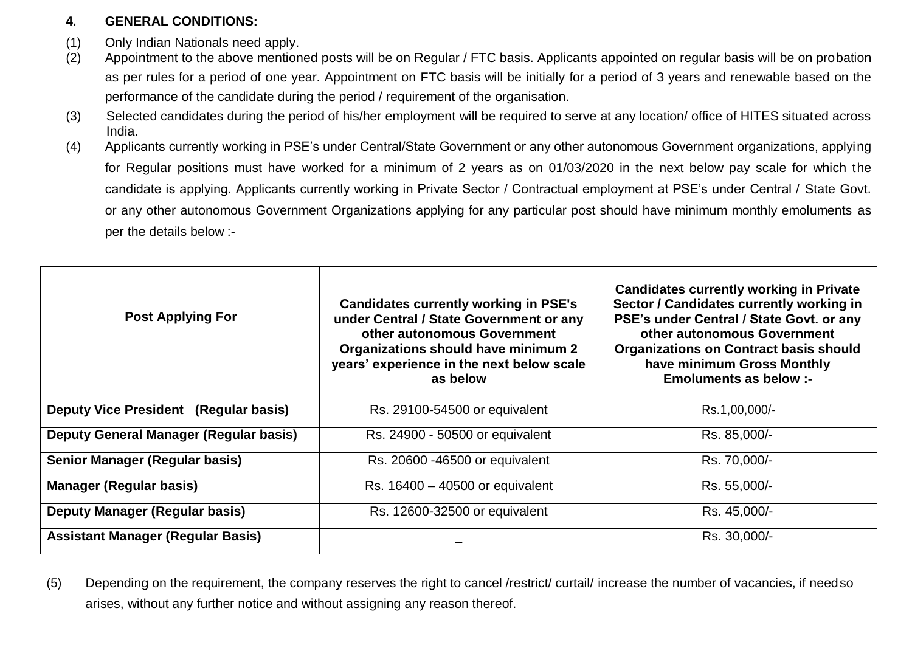# **4. GENERAL CONDITIONS:**

- (1) Only Indian Nationals need apply.
- (2) Appointment to the above mentioned posts will be on Regular / FTC basis. Applicants appointed on regular basis will be on probation as per rules for a period of one year. Appointment on FTC basis will be initially for a period of 3 years and renewable based on the performance of the candidate during the period / requirement of the organisation.
- (3) Selected candidates during the period of his/her employment will be required to serve at any location/ office of HITES situated across India.
- (4) Applicants currently working in PSE's under Central/State Government or any other autonomous Government organizations, applying for Regular positions must have worked for a minimum of 2 years as on 01/03/2020 in the next below pay scale for which the candidate is applying. Applicants currently working in Private Sector / Contractual employment at PSE's under Central / State Govt. or any other autonomous Government Organizations applying for any particular post should have minimum monthly emoluments as per the details below :-

| <b>Post Applying For</b>                 | <b>Candidates currently working in PSE's</b><br>under Central / State Government or any<br>other autonomous Government<br>Organizations should have minimum 2<br>years' experience in the next below scale<br>as below | <b>Candidates currently working in Private</b><br>Sector / Candidates currently working in<br>PSE's under Central / State Govt. or any<br>other autonomous Government<br><b>Organizations on Contract basis should</b><br>have minimum Gross Monthly<br>Emoluments as below :- |
|------------------------------------------|------------------------------------------------------------------------------------------------------------------------------------------------------------------------------------------------------------------------|--------------------------------------------------------------------------------------------------------------------------------------------------------------------------------------------------------------------------------------------------------------------------------|
| Deputy Vice President (Regular basis)    | Rs. 29100-54500 or equivalent                                                                                                                                                                                          | Rs.1,00,000/-                                                                                                                                                                                                                                                                  |
| Deputy General Manager (Regular basis)   | Rs. 24900 - 50500 or equivalent                                                                                                                                                                                        | Rs. 85,000/-                                                                                                                                                                                                                                                                   |
| <b>Senior Manager (Regular basis)</b>    | Rs. 20600 -46500 or equivalent                                                                                                                                                                                         | Rs. 70,000/-                                                                                                                                                                                                                                                                   |
| <b>Manager (Regular basis)</b>           | Rs. $16400 - 40500$ or equivalent                                                                                                                                                                                      | Rs. 55,000/-                                                                                                                                                                                                                                                                   |
| <b>Deputy Manager (Regular basis)</b>    | Rs. 12600-32500 or equivalent                                                                                                                                                                                          | Rs. 45,000/-                                                                                                                                                                                                                                                                   |
| <b>Assistant Manager (Regular Basis)</b> |                                                                                                                                                                                                                        | Rs. 30,000/-                                                                                                                                                                                                                                                                   |

(5) Depending on the requirement, the company reserves the right to cancel /restrict/ curtail/ increase the number of vacancies, if needso arises, without any further notice and without assigning any reason thereof.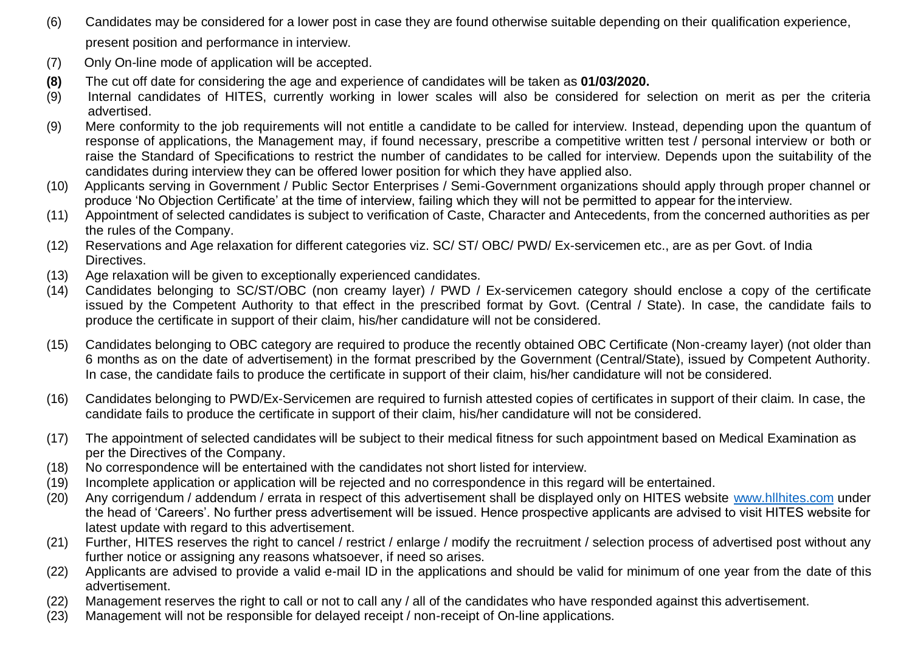- (6) Candidates may be considered for a lower post in case they are found otherwise suitable depending on their qualification experience, present position and performance in interview.
- (7) Only On-line mode of application will be accepted.
- **(8)** The cut off date for considering the age and experience of candidates will be taken as **01/03/2020.**
- (9) Internal candidates of HITES, currently working in lower scales will also be considered for selection on merit as per the criteria advertised.
- (9) Mere conformity to the job requirements will not entitle a candidate to be called for interview. Instead, depending upon the quantum of response of applications, the Management may, if found necessary, prescribe a competitive written test / personal interview or both or raise the Standard of Specifications to restrict the number of candidates to be called for interview. Depends upon the suitability of the candidates during interview they can be offered lower position for which they have applied also.
- (10) Applicants serving in Government / Public Sector Enterprises / Semi-Government organizations should apply through proper channel or produce 'No Objection Certificate' at the time of interview, failing which they will not be permitted to appear for the interview.
- (11) Appointment of selected candidates is subject to verification of Caste, Character and Antecedents, from the concerned authorities as per the rules of the Company.
- (12) Reservations and Age relaxation for different categories viz. SC/ ST/ OBC/ PWD/ Ex-servicemen etc., are as per Govt. of India Directives.
- (13) Age relaxation will be given to exceptionally experienced candidates.
- (14) Candidates belonging to SC/ST/OBC (non creamy layer) / PWD / Ex-servicemen category should enclose a copy of the certificate issued by the Competent Authority to that effect in the prescribed format by Govt. (Central / State). In case, the candidate fails to produce the certificate in support of their claim, his/her candidature will not be considered.
- (15) Candidates belonging to OBC category are required to produce the recently obtained OBC Certificate (Non-creamy layer) (not older than 6 months as on the date of advertisement) in the format prescribed by the Government (Central/State), issued by Competent Authority. In case, the candidate fails to produce the certificate in support of their claim, his/her candidature will not be considered.
- (16) Candidates belonging to PWD/Ex-Servicemen are required to furnish attested copies of certificates in support of their claim. In case, the candidate fails to produce the certificate in support of their claim, his/her candidature will not be considered.
- (17) The appointment of selected candidates will be subject to their medical fitness for such appointment based on Medical Examination as per the Directives of the Company.
- (18) No correspondence will be entertained with the candidates not short listed for interview.
- (19) Incomplete application or application will be rejected and no correspondence in this regard will be entertained.
- (20) Any corrigendum / addendum / errata in respect of this advertisement shall be displayed only on HITES website [www.hllhites.com](http://www.hllhites.com/) under the head of 'Careers'. No further press advertisement will be issued. Hence prospective applicants are advised to visit HITES website for latest update with regard to this advertisement.
- (21) Further, HITES reserves the right to cancel / restrict / enlarge / modify the recruitment / selection process of advertised post without any further notice or assigning any reasons whatsoever, if need so arises.
- (22) Applicants are advised to provide a valid e-mail ID in the applications and should be valid for minimum of one year from the date of this advertisement.
- (22) Management reserves the right to call or not to call any / all of the candidates who have responded against this advertisement.
- (23) Management will not be responsible for delayed receipt / non-receipt of On-line applications.